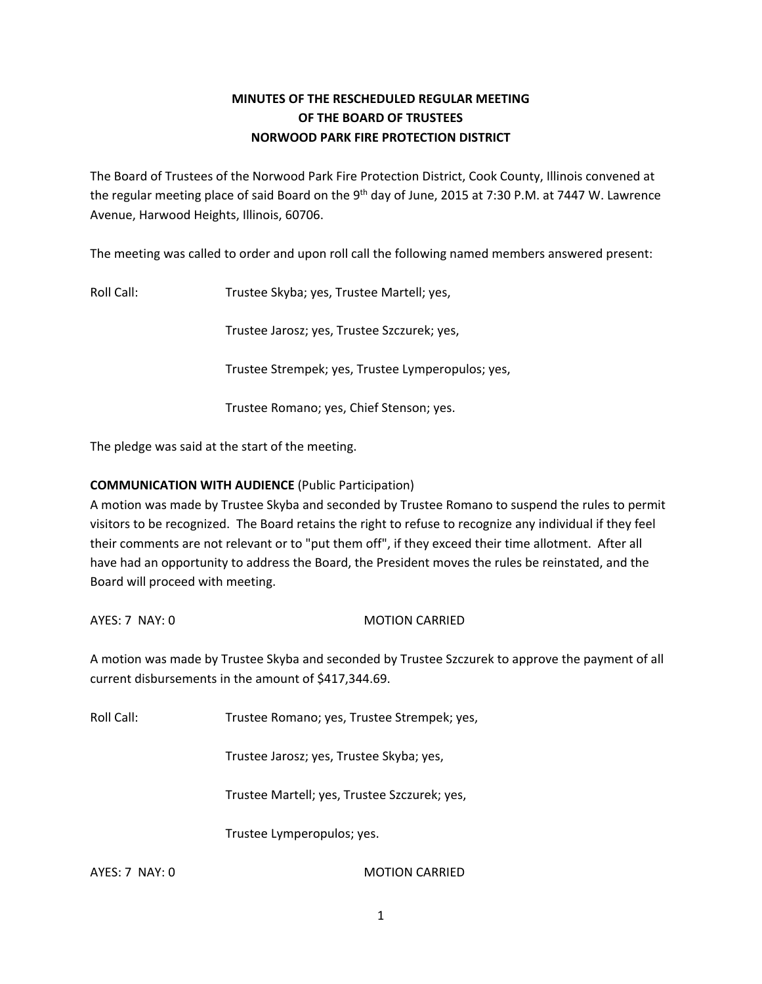# **MINUTES OF THE RESCHEDULED REGULAR MEETING OF THE BOARD OF TRUSTEES NORWOOD PARK FIRE PROTECTION DISTRICT**

The Board of Trustees of the Norwood Park Fire Protection District, Cook County, Illinois convened at the regular meeting place of said Board on the 9<sup>th</sup> day of June, 2015 at 7:30 P.M. at 7447 W. Lawrence Avenue, Harwood Heights, Illinois, 60706.

The meeting was called to order and upon roll call the following named members answered present:

Roll Call: Trustee Skyba; yes, Trustee Martell; yes,

Trustee Jarosz; yes, Trustee Szczurek; yes,

Trustee Strempek; yes, Trustee Lymperopulos; yes,

Trustee Romano; yes, Chief Stenson; yes.

The pledge was said at the start of the meeting.

## **COMMUNICATION WITH AUDIENCE** (Public Participation)

A motion was made by Trustee Skyba and seconded by Trustee Romano to suspend the rules to permit visitors to be recognized. The Board retains the right to refuse to recognize any individual if they feel their comments are not relevant or to "put them off", if they exceed their time allotment. After all have had an opportunity to address the Board, the President moves the rules be reinstated, and the Board will proceed with meeting.

AYES: 7 NAY: 0 MOTION CARRIED

A motion was made by Trustee Skyba and seconded by Trustee Szczurek to approve the payment of all current disbursements in the amount of \$417,344.69.

Roll Call: Trustee Romano; yes, Trustee Strempek; yes,

Trustee Jarosz; yes, Trustee Skyba; yes,

Trustee Martell; yes, Trustee Szczurek; yes,

Trustee Lymperopulos; yes.

AYES: 7 NAY: 0 MOTION CARRIED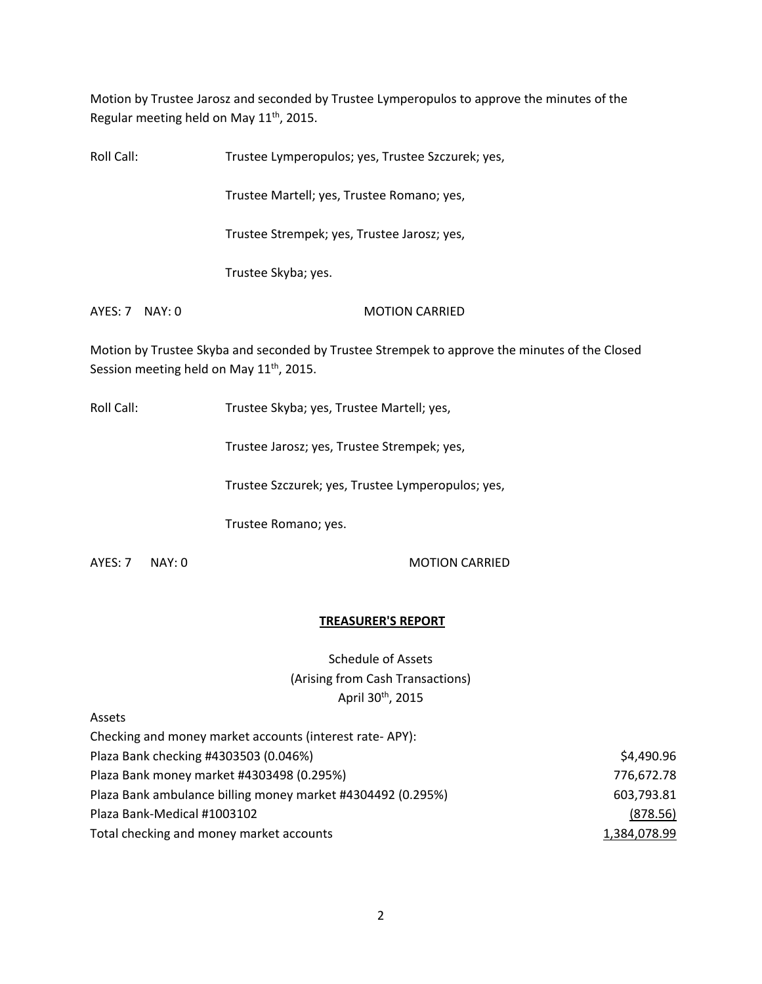Motion by Trustee Jarosz and seconded by Trustee Lymperopulos to approve the minutes of the Regular meeting held on May 11<sup>th</sup>, 2015.

| Trustee Lymperopulos; yes, Trustee Szczurek; yes, |                  |
|---------------------------------------------------|------------------|
| Trustee Martell; yes, Trustee Romano; yes,        |                  |
| Trustee Strempek; yes, Trustee Jarosz; yes,       |                  |
| Trustee Skyba; yes.                               |                  |
| <b>MOTION CARRIED</b>                             |                  |
|                                                   | $AYES: 7$ NAY: 0 |

Motion by Trustee Skyba and seconded by Trustee Strempek to approve the minutes of the Closed Session meeting held on May 11<sup>th</sup>, 2015.

Roll Call: Trustee Skyba; yes, Trustee Martell; yes,

Trustee Jarosz; yes, Trustee Strempek; yes,

Trustee Szczurek; yes, Trustee Lymperopulos; yes,

Trustee Romano; yes.

AYES: 7 NAY: 0 MOTION CARRIED

### **TREASURER'S REPORT**

Schedule of Assets (Arising from Cash Transactions) April 30th, 2015

Assets

| Checking and money market accounts (interest rate-APY):     |              |
|-------------------------------------------------------------|--------------|
| Plaza Bank checking #4303503 (0.046%)                       | \$4,490.96   |
| Plaza Bank money market #4303498 (0.295%)                   | 776,672.78   |
| Plaza Bank ambulance billing money market #4304492 (0.295%) | 603,793.81   |
| Plaza Bank-Medical #1003102                                 | (878.56)     |
| Total checking and money market accounts                    | 1,384,078.99 |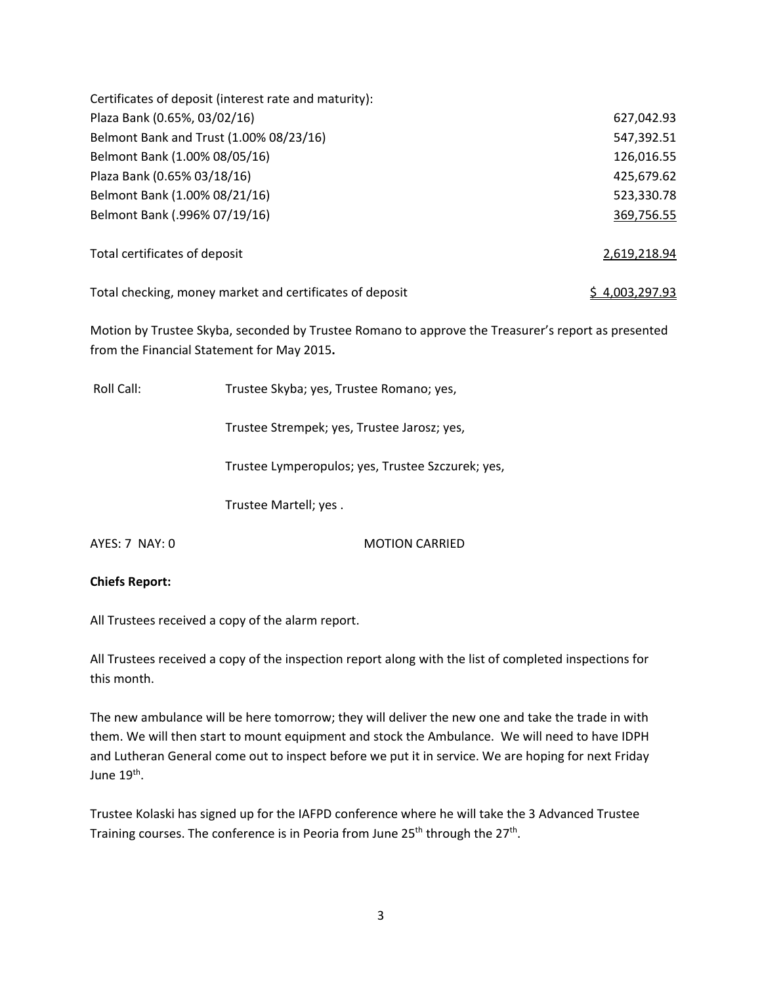| Certificates of deposit (interest rate and maturity):    |                |
|----------------------------------------------------------|----------------|
| Plaza Bank (0.65%, 03/02/16)                             | 627,042.93     |
| Belmont Bank and Trust (1.00% 08/23/16)                  | 547,392.51     |
| Belmont Bank (1.00% 08/05/16)                            | 126,016.55     |
| Plaza Bank (0.65% 03/18/16)                              | 425,679.62     |
| Belmont Bank (1.00% 08/21/16)                            | 523,330.78     |
| Belmont Bank (.996% 07/19/16)                            | 369,756.55     |
| Total certificates of deposit                            | 2,619,218.94   |
| Total checking, money market and certificates of deposit | \$4.003.297.93 |

Motion by Trustee Skyba, seconded by Trustee Romano to approve the Treasurer's report as presented from the Financial Statement for May 2015**.** 

Roll Call: Trustee Skyba; yes, Trustee Romano; yes, Trustee Strempek; yes, Trustee Jarosz; yes, Trustee Lymperopulos; yes, Trustee Szczurek; yes, Trustee Martell; yes . AYES: 7 NAY: 0 MOTION CARRIED

**Chiefs Report:** 

All Trustees received a copy of the alarm report.

All Trustees received a copy of the inspection report along with the list of completed inspections for this month.

The new ambulance will be here tomorrow; they will deliver the new one and take the trade in with them. We will then start to mount equipment and stock the Ambulance. We will need to have IDPH and Lutheran General come out to inspect before we put it in service. We are hoping for next Friday June 19<sup>th</sup>.

Trustee Kolaski has signed up for the IAFPD conference where he will take the 3 Advanced Trustee Training courses. The conference is in Peoria from June 25<sup>th</sup> through the 27<sup>th</sup>.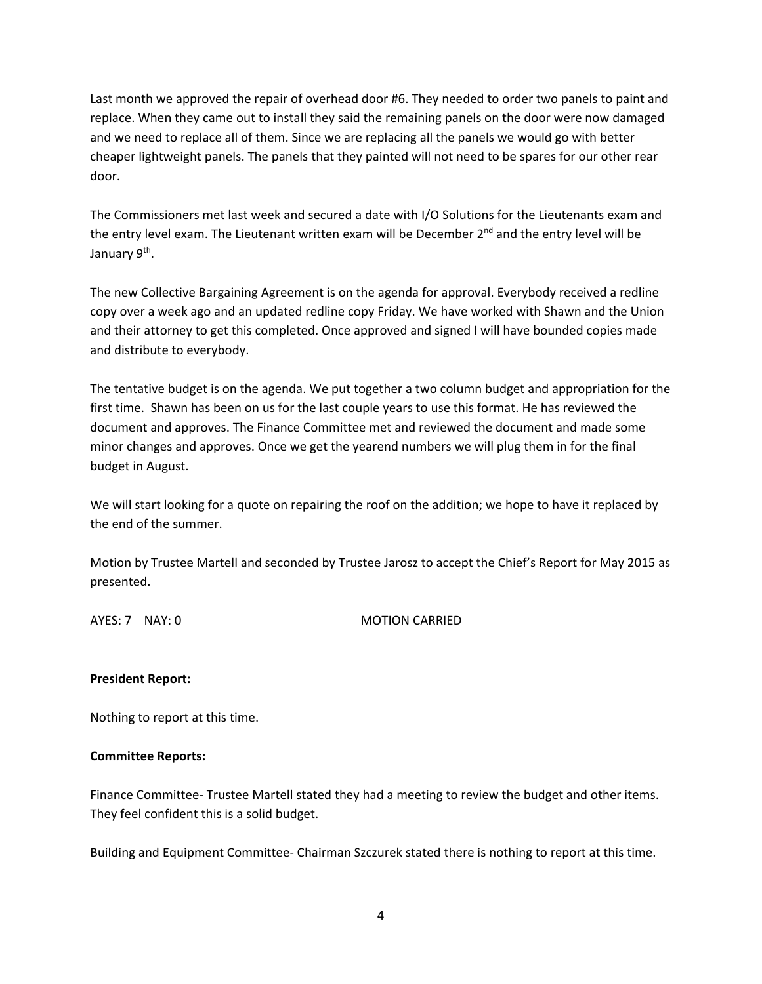Last month we approved the repair of overhead door #6. They needed to order two panels to paint and replace. When they came out to install they said the remaining panels on the door were now damaged and we need to replace all of them. Since we are replacing all the panels we would go with better cheaper lightweight panels. The panels that they painted will not need to be spares for our other rear door.

The Commissioners met last week and secured a date with I/O Solutions for the Lieutenants exam and the entry level exam. The Lieutenant written exam will be December 2<sup>nd</sup> and the entry level will be January 9<sup>th</sup>.

The new Collective Bargaining Agreement is on the agenda for approval. Everybody received a redline copy over a week ago and an updated redline copy Friday. We have worked with Shawn and the Union and their attorney to get this completed. Once approved and signed I will have bounded copies made and distribute to everybody.

The tentative budget is on the agenda. We put together a two column budget and appropriation for the first time. Shawn has been on us for the last couple years to use this format. He has reviewed the document and approves. The Finance Committee met and reviewed the document and made some minor changes and approves. Once we get the yearend numbers we will plug them in for the final budget in August.

We will start looking for a quote on repairing the roof on the addition; we hope to have it replaced by the end of the summer.

Motion by Trustee Martell and seconded by Trustee Jarosz to accept the Chief's Report for May 2015 as presented.

AYES: 7 NAY: 0 MOTION CARRIED

### **President Report:**

Nothing to report at this time.

### **Committee Reports:**

Finance Committee- Trustee Martell stated they had a meeting to review the budget and other items. They feel confident this is a solid budget.

Building and Equipment Committee- Chairman Szczurek stated there is nothing to report at this time.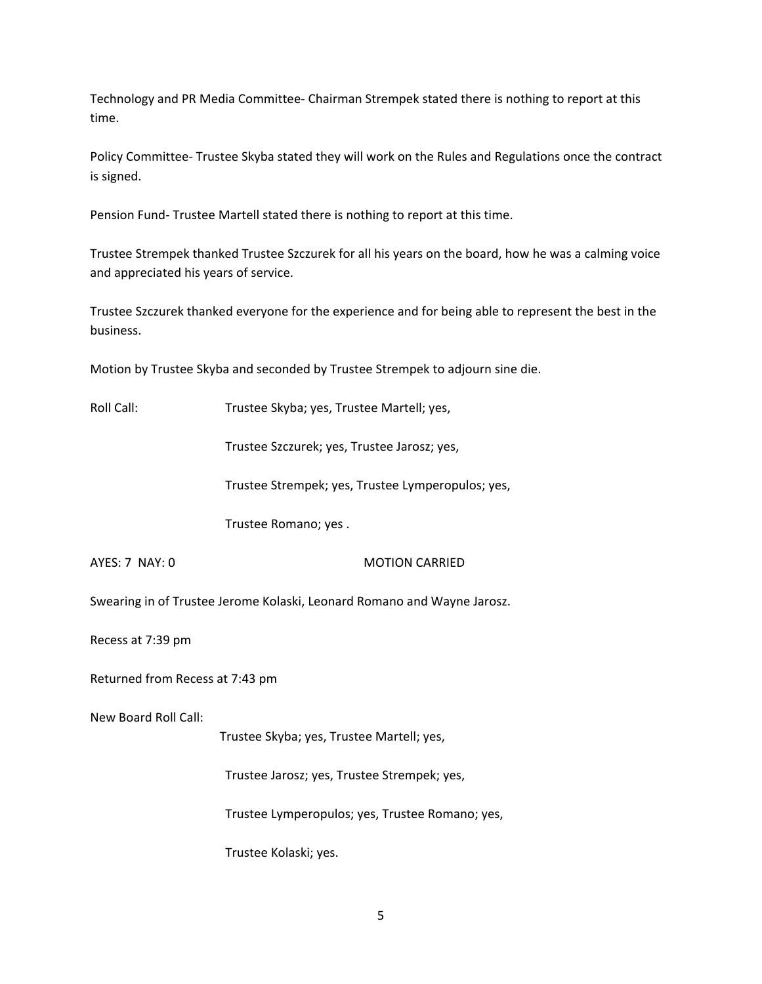Technology and PR Media Committee- Chairman Strempek stated there is nothing to report at this time.

Policy Committee- Trustee Skyba stated they will work on the Rules and Regulations once the contract is signed.

Pension Fund- Trustee Martell stated there is nothing to report at this time.

Trustee Strempek thanked Trustee Szczurek for all his years on the board, how he was a calming voice and appreciated his years of service.

Trustee Szczurek thanked everyone for the experience and for being able to represent the best in the business.

Motion by Trustee Skyba and seconded by Trustee Strempek to adjourn sine die.

Roll Call: Trustee Skyba; yes, Trustee Martell; yes,

Trustee Szczurek; yes, Trustee Jarosz; yes,

Trustee Strempek; yes, Trustee Lymperopulos; yes,

Trustee Romano; yes .

### AYES: 7 NAY: 0 MOTION CARRIED

Swearing in of Trustee Jerome Kolaski, Leonard Romano and Wayne Jarosz.

Recess at 7:39 pm

Returned from Recess at 7:43 pm

New Board Roll Call:

Trustee Skyba; yes, Trustee Martell; yes,

Trustee Jarosz; yes, Trustee Strempek; yes,

Trustee Lymperopulos; yes, Trustee Romano; yes,

Trustee Kolaski; yes.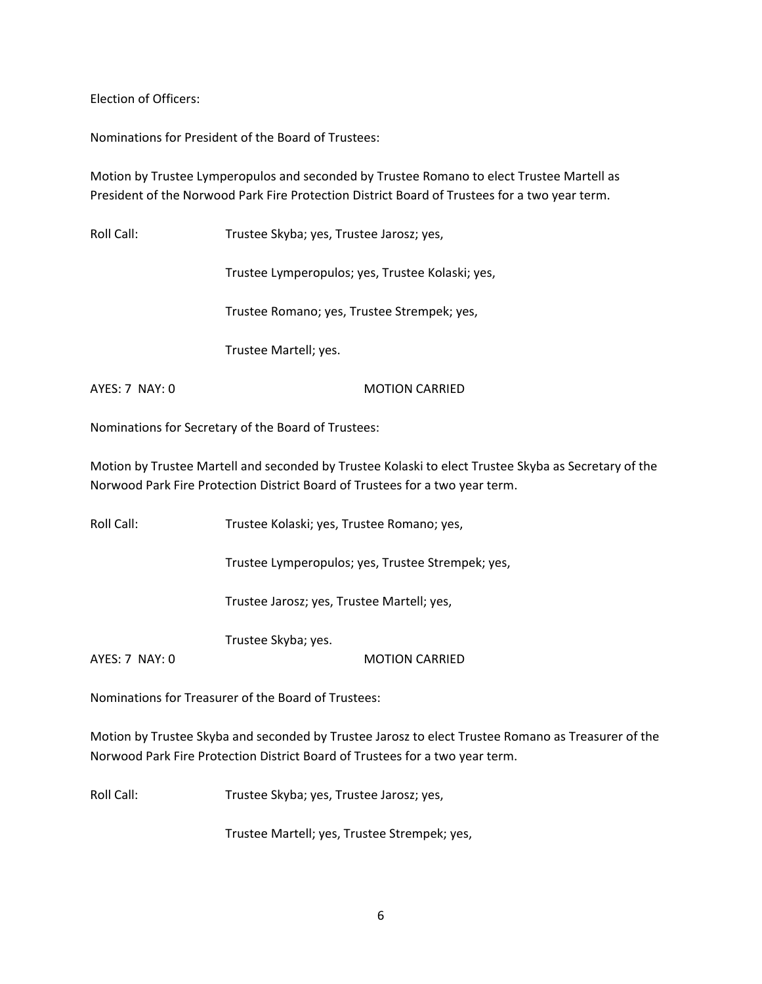Election of Officers:

Nominations for President of the Board of Trustees:

Motion by Trustee Lymperopulos and seconded by Trustee Romano to elect Trustee Martell as President of the Norwood Park Fire Protection District Board of Trustees for a two year term.

Roll Call: Trustee Skyba; yes, Trustee Jarosz; yes,

Trustee Lymperopulos; yes, Trustee Kolaski; yes,

Trustee Romano; yes, Trustee Strempek; yes,

Trustee Martell; yes.

AYES: 7 NAY: 0 MOTION CARRIED

Nominations for Secretary of the Board of Trustees:

Motion by Trustee Martell and seconded by Trustee Kolaski to elect Trustee Skyba as Secretary of the Norwood Park Fire Protection District Board of Trustees for a two year term.

Roll Call: Trustee Kolaski; yes, Trustee Romano; yes,

Trustee Lymperopulos; yes, Trustee Strempek; yes,

Trustee Jarosz; yes, Trustee Martell; yes,

Trustee Skyba; yes.

AYES: 7 NAY: 0 MOTION CARRIED

Nominations for Treasurer of the Board of Trustees:

Motion by Trustee Skyba and seconded by Trustee Jarosz to elect Trustee Romano as Treasurer of the Norwood Park Fire Protection District Board of Trustees for a two year term.

Roll Call: Trustee Skyba; yes, Trustee Jarosz; yes,

Trustee Martell; yes, Trustee Strempek; yes,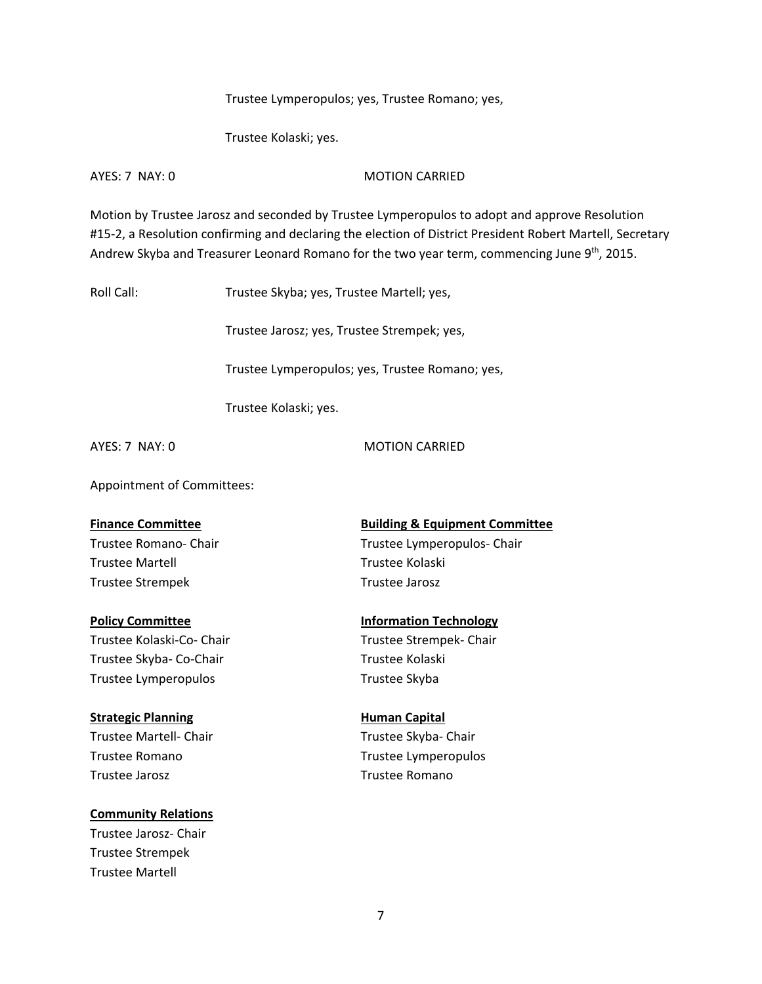Trustee Lymperopulos; yes, Trustee Romano; yes,

Trustee Kolaski; yes.

AYES: 7 NAY: 0 MOTION CARRIED

Motion by Trustee Jarosz and seconded by Trustee Lymperopulos to adopt and approve Resolution #15-2, a Resolution confirming and declaring the election of District President Robert Martell, Secretary Andrew Skyba and Treasurer Leonard Romano for the two year term, commencing June 9<sup>th</sup>, 2015.

Roll Call: Trustee Skyba; yes, Trustee Martell; yes,

Trustee Jarosz; yes, Trustee Strempek; yes,

Trustee Lymperopulos; yes, Trustee Romano; yes,

Trustee Kolaski; yes.

AYES: 7 NAY: 0 MOTION CARRIED

Appointment of Committees:

Trustee Martell Trustee Kolaski Trustee Strempek Trustee Jarosz

Trustee Kolaski-Co- Chair Trustee Strempek- Chair Trustee Skyba- Co-Chair Trustee Kolaski Trustee Lymperopulos **Trustee Skyba** 

**Strategic Planning Capital Human Capital** Trustee Martell- Chair Trustee Skyba- Chair Trustee Jarosz **Trustee Romano** 

**Community Relations**

Trustee Jarosz- Chair Trustee Strempek Trustee Martell

**Finance Committee Committee Building & Equipment Committee** Trustee Romano- Chair Trustee Lymperopulos- Chair

**Policy Committee <b>Information Technology** 

Trustee Romano Trustee Lymperopulos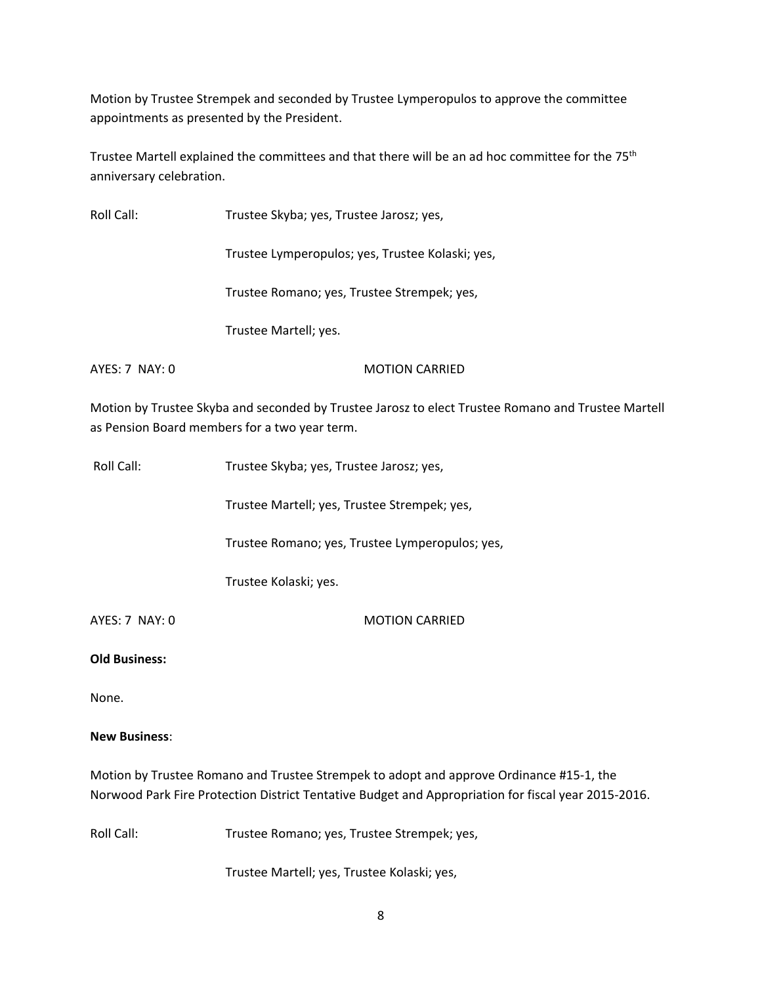Motion by Trustee Strempek and seconded by Trustee Lymperopulos to approve the committee appointments as presented by the President.

Trustee Martell explained the committees and that there will be an ad hoc committee for the 75<sup>th</sup> anniversary celebration.

| Roll Call:       | Trustee Skyba; yes, Trustee Jarosz; yes,         |
|------------------|--------------------------------------------------|
|                  | Trustee Lymperopulos; yes, Trustee Kolaski; yes, |
|                  | Trustee Romano; yes, Trustee Strempek; yes,      |
|                  | Trustee Martell; yes.                            |
| $AYFS: 7$ NAY: 0 | <b>MOTION CARRIED</b>                            |

Motion by Trustee Skyba and seconded by Trustee Jarosz to elect Trustee Romano and Trustee Martell as Pension Board members for a two year term.

| Roll Call:           | Trustee Skyba; yes, Trustee Jarosz; yes,        |
|----------------------|-------------------------------------------------|
|                      | Trustee Martell; yes, Trustee Strempek; yes,    |
|                      | Trustee Romano; yes, Trustee Lymperopulos; yes, |
|                      | Trustee Kolaski; yes.                           |
| AYES: 7 NAY: 0       | <b>MOTION CARRIED</b>                           |
| <b>Old Business:</b> |                                                 |
| None.                |                                                 |
| <b>New Business:</b> |                                                 |

Motion by Trustee Romano and Trustee Strempek to adopt and approve Ordinance #15-1, the Norwood Park Fire Protection District Tentative Budget and Appropriation for fiscal year 2015-2016.

Roll Call: Trustee Romano; yes, Trustee Strempek; yes,

Trustee Martell; yes, Trustee Kolaski; yes,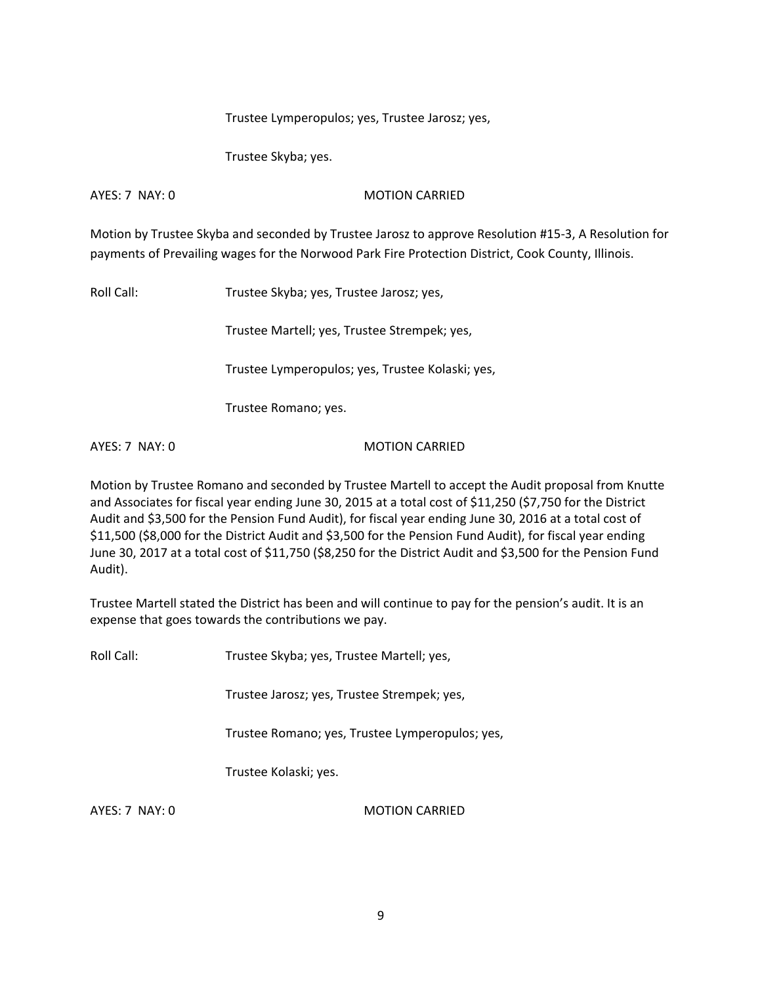Trustee Lymperopulos; yes, Trustee Jarosz; yes,

Trustee Skyba; yes.

AYES: 7 NAY: 0 MOTION CARRIED

Motion by Trustee Skyba and seconded by Trustee Jarosz to approve Resolution #15-3, A Resolution for payments of Prevailing wages for the Norwood Park Fire Protection District, Cook County, Illinois.

Roll Call: Trustee Skyba; yes, Trustee Jarosz; yes,

Trustee Martell; yes, Trustee Strempek; yes,

Trustee Lymperopulos; yes, Trustee Kolaski; yes,

Trustee Romano; yes.

AYES: 7 NAY: 0 MOTION CARRIED

Motion by Trustee Romano and seconded by Trustee Martell to accept the Audit proposal from Knutte and Associates for fiscal year ending June 30, 2015 at a total cost of \$11,250 (\$7,750 for the District Audit and \$3,500 for the Pension Fund Audit), for fiscal year ending June 30, 2016 at a total cost of \$11,500 (\$8,000 for the District Audit and \$3,500 for the Pension Fund Audit), for fiscal year ending June 30, 2017 at a total cost of \$11,750 (\$8,250 for the District Audit and \$3,500 for the Pension Fund Audit).

Trustee Martell stated the District has been and will continue to pay for the pension's audit. It is an expense that goes towards the contributions we pay.

Roll Call: Trustee Skyba; yes, Trustee Martell; yes,

Trustee Jarosz; yes, Trustee Strempek; yes,

Trustee Romano; yes, Trustee Lymperopulos; yes,

Trustee Kolaski; yes.

AYES: 7 NAY: 0 MOTION CARRIED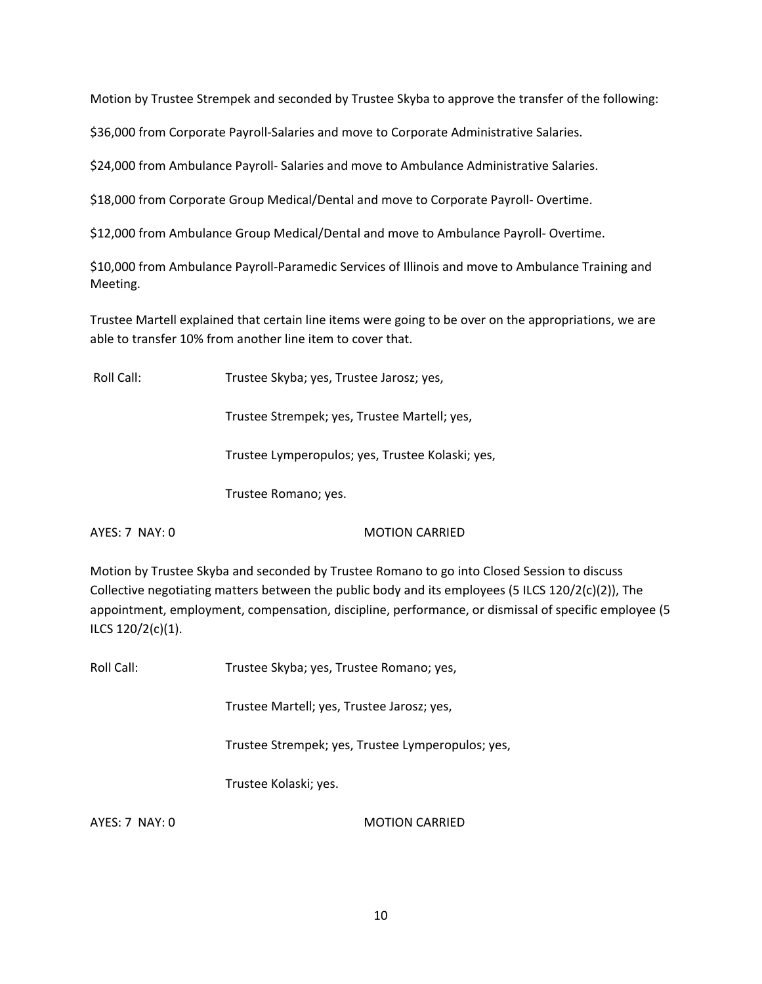Motion by Trustee Strempek and seconded by Trustee Skyba to approve the transfer of the following:

\$36,000 from Corporate Payroll-Salaries and move to Corporate Administrative Salaries.

\$24,000 from Ambulance Payroll- Salaries and move to Ambulance Administrative Salaries.

\$18,000 from Corporate Group Medical/Dental and move to Corporate Payroll- Overtime.

\$12,000 from Ambulance Group Medical/Dental and move to Ambulance Payroll- Overtime.

\$10,000 from Ambulance Payroll-Paramedic Services of Illinois and move to Ambulance Training and Meeting.

Trustee Martell explained that certain line items were going to be over on the appropriations, we are able to transfer 10% from another line item to cover that.

Roll Call: Trustee Skyba; yes, Trustee Jarosz; yes,

Trustee Strempek; yes, Trustee Martell; yes,

Trustee Lymperopulos; yes, Trustee Kolaski; yes,

Trustee Romano; yes.

AYES: 7 NAY: 0 MOTION CARRIED

Motion by Trustee Skyba and seconded by Trustee Romano to go into Closed Session to discuss Collective negotiating matters between the public body and its employees (5 ILCS 120/2(c)(2)), The appointment, employment, compensation, discipline, performance, or dismissal of specific employee (5 ILCS 120/2(c)(1).

Roll Call: Trustee Skyba; yes, Trustee Romano; yes,

Trustee Martell; yes, Trustee Jarosz; yes,

Trustee Strempek; yes, Trustee Lymperopulos; yes,

Trustee Kolaski; yes.

AYES: 7 NAY: 0 MOTION CARRIED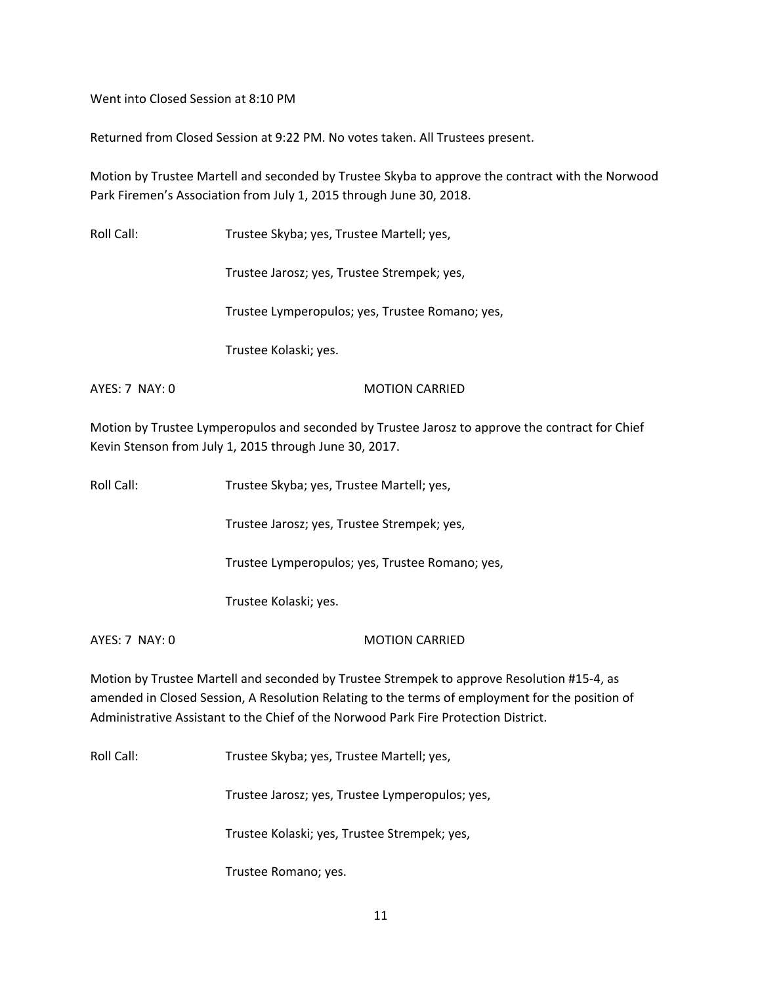Went into Closed Session at 8:10 PM

Returned from Closed Session at 9:22 PM. No votes taken. All Trustees present.

Motion by Trustee Martell and seconded by Trustee Skyba to approve the contract with the Norwood Park Firemen's Association from July 1, 2015 through June 30, 2018.

Roll Call: Trustee Skyba; yes, Trustee Martell; yes,

Trustee Jarosz; yes, Trustee Strempek; yes,

Trustee Lymperopulos; yes, Trustee Romano; yes,

Trustee Kolaski; yes.

AYES: 7 NAY: 0 MOTION CARRIED

Motion by Trustee Lymperopulos and seconded by Trustee Jarosz to approve the contract for Chief Kevin Stenson from July 1, 2015 through June 30, 2017.

Trustee Jarosz; yes, Trustee Strempek; yes,

Trustee Lymperopulos; yes, Trustee Romano; yes,

Trustee Kolaski; yes.

AYES: 7 NAY: 0 MOTION CARRIED

Motion by Trustee Martell and seconded by Trustee Strempek to approve Resolution #15-4, as amended in Closed Session, A Resolution Relating to the terms of employment for the position of Administrative Assistant to the Chief of the Norwood Park Fire Protection District.

Roll Call: Trustee Skyba; yes, Trustee Martell; yes,

Trustee Jarosz; yes, Trustee Lymperopulos; yes,

Trustee Kolaski; yes, Trustee Strempek; yes,

Trustee Romano; yes.